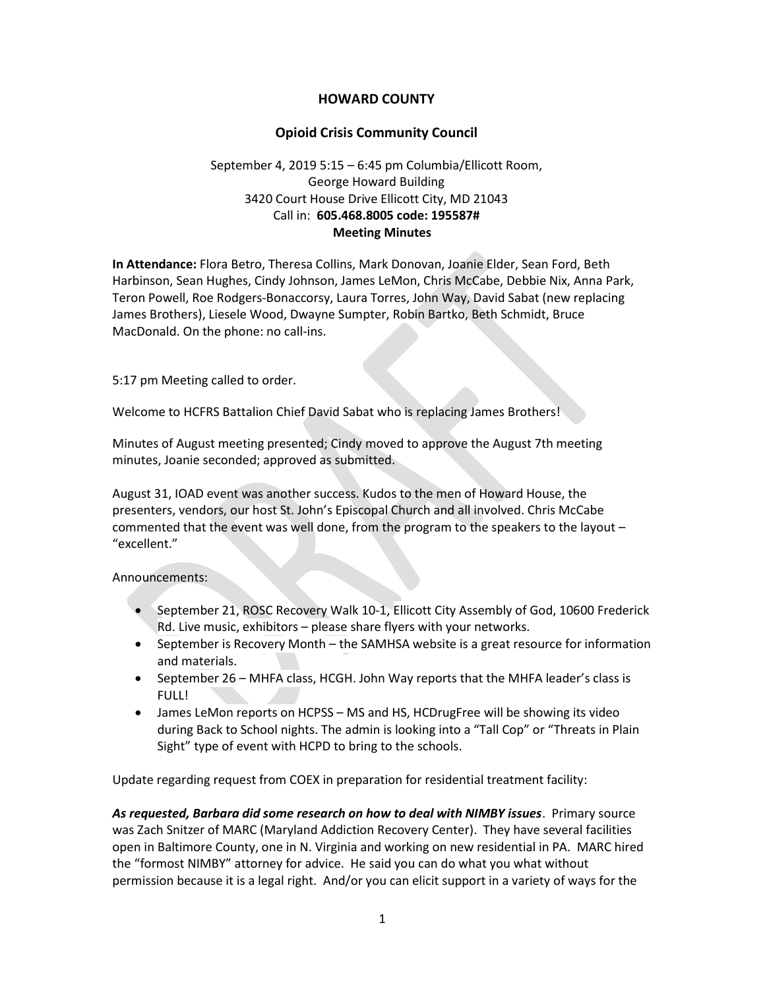## HOWARD COUNTY

## Opioid Crisis Community Council

# September 4, 2019 5:15 – 6:45 pm Columbia/Ellicott Room, George Howard Building 3420 Court House Drive Ellicott City, MD 21043 Call in: 605.468.8005 code: 195587# Meeting Minutes

In Attendance: Flora Betro, Theresa Collins, Mark Donovan, Joanie Elder, Sean Ford, Beth Harbinson, Sean Hughes, Cindy Johnson, James LeMon, Chris McCabe, Debbie Nix, Anna Park, Teron Powell, Roe Rodgers-Bonaccorsy, Laura Torres, John Way, David Sabat (new replacing James Brothers), Liesele Wood, Dwayne Sumpter, Robin Bartko, Beth Schmidt, Bruce MacDonald. On the phone: no call-ins.

5:17 pm Meeting called to order.

Welcome to HCFRS Battalion Chief David Sabat who is replacing James Brothers!

Minutes of August meeting presented; Cindy moved to approve the August 7th meeting minutes, Joanie seconded; approved as submitted.

August 31, IOAD event was another success. Kudos to the men of Howard House, the presenters, vendors, our host St. John's Episcopal Church and all involved. Chris McCabe commented that the event was well done, from the program to the speakers to the layout – "excellent."

### Announcements:

- September 21, ROSC Recovery Walk 10-1, Ellicott City Assembly of God, 10600 Frederick Rd. Live music, exhibitors – please share flyers with your networks.
- September is Recovery Month the SAMHSA website is a great resource for information and materials.
- September 26 MHFA class, HCGH. John Way reports that the MHFA leader's class is FULL!
- James LeMon reports on HCPSS MS and HS, HCDrugFree will be showing its video during Back to School nights. The admin is looking into a "Tall Cop" or "Threats in Plain Sight" type of event with HCPD to bring to the schools.

Update regarding request from COEX in preparation for residential treatment facility:

As requested, Barbara did some research on how to deal with NIMBY issues. Primary source was Zach Snitzer of MARC (Maryland Addiction Recovery Center). They have several facilities open in Baltimore County, one in N. Virginia and working on new residential in PA. MARC hired the "formost NIMBY" attorney for advice. He said you can do what you what without permission because it is a legal right. And/or you can elicit support in a variety of ways for the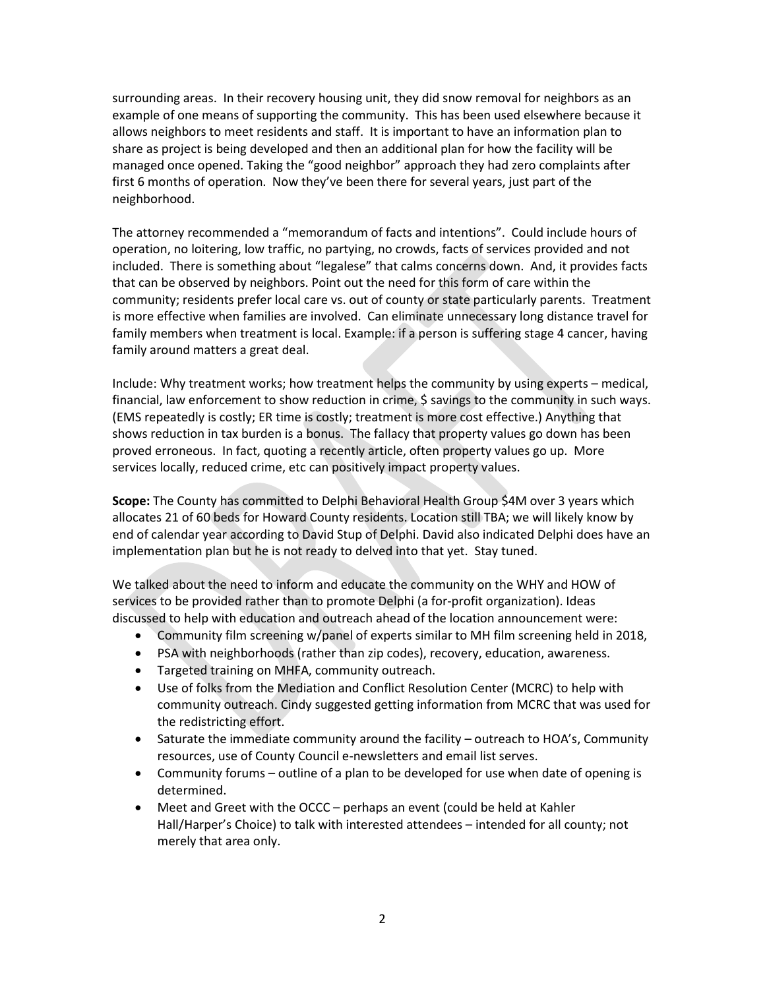surrounding areas. In their recovery housing unit, they did snow removal for neighbors as an example of one means of supporting the community. This has been used elsewhere because it allows neighbors to meet residents and staff. It is important to have an information plan to share as project is being developed and then an additional plan for how the facility will be managed once opened. Taking the "good neighbor" approach they had zero complaints after first 6 months of operation. Now they've been there for several years, just part of the neighborhood.

The attorney recommended a "memorandum of facts and intentions". Could include hours of operation, no loitering, low traffic, no partying, no crowds, facts of services provided and not included. There is something about "legalese" that calms concerns down. And, it provides facts that can be observed by neighbors. Point out the need for this form of care within the community; residents prefer local care vs. out of county or state particularly parents. Treatment is more effective when families are involved. Can eliminate unnecessary long distance travel for family members when treatment is local. Example: if a person is suffering stage 4 cancer, having family around matters a great deal.

Include: Why treatment works; how treatment helps the community by using experts – medical, financial, law enforcement to show reduction in crime, \$ savings to the community in such ways. (EMS repeatedly is costly; ER time is costly; treatment is more cost effective.) Anything that shows reduction in tax burden is a bonus. The fallacy that property values go down has been proved erroneous. In fact, quoting a recently article, often property values go up. More services locally, reduced crime, etc can positively impact property values.

Scope: The County has committed to Delphi Behavioral Health Group \$4M over 3 years which allocates 21 of 60 beds for Howard County residents. Location still TBA; we will likely know by end of calendar year according to David Stup of Delphi. David also indicated Delphi does have an implementation plan but he is not ready to delved into that yet. Stay tuned.

We talked about the need to inform and educate the community on the WHY and HOW of services to be provided rather than to promote Delphi (a for-profit organization). Ideas discussed to help with education and outreach ahead of the location announcement were:

- Community film screening w/panel of experts similar to MH film screening held in 2018,
- PSA with neighborhoods (rather than zip codes), recovery, education, awareness.
- Targeted training on MHFA, community outreach.
- Use of folks from the Mediation and Conflict Resolution Center (MCRC) to help with community outreach. Cindy suggested getting information from MCRC that was used for the redistricting effort.
- Saturate the immediate community around the facility outreach to HOA's, Community resources, use of County Council e-newsletters and email list serves.
- Community forums outline of a plan to be developed for use when date of opening is determined.
- Meet and Greet with the OCCC perhaps an event (could be held at Kahler Hall/Harper's Choice) to talk with interested attendees – intended for all county; not merely that area only.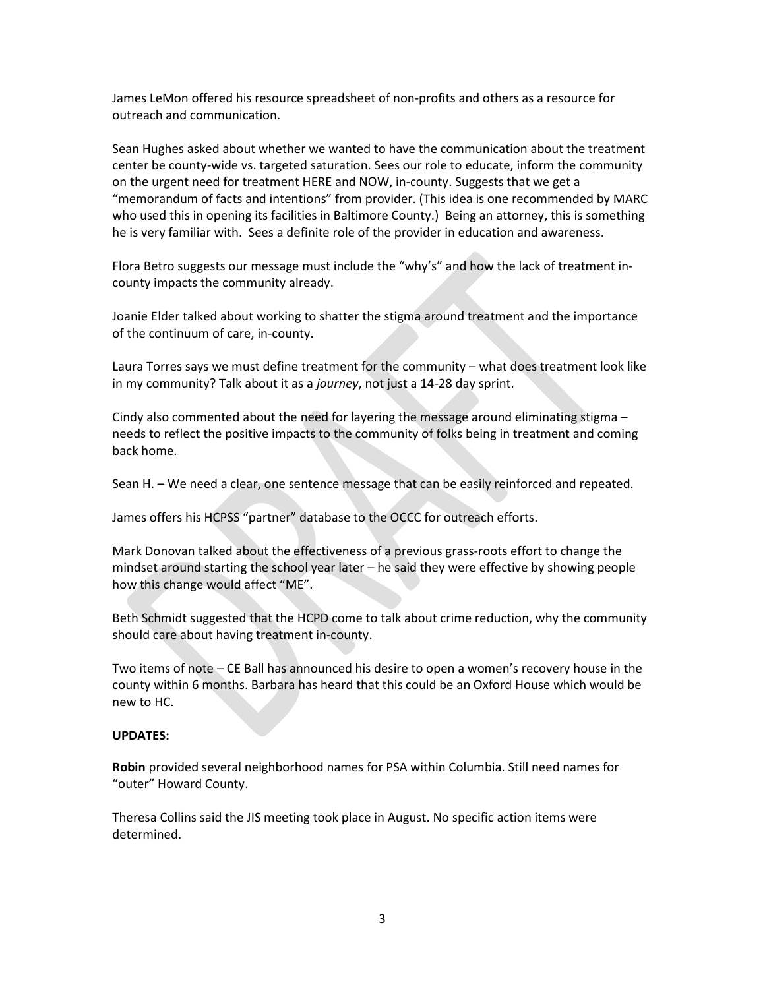James LeMon offered his resource spreadsheet of non-profits and others as a resource for outreach and communication.

Sean Hughes asked about whether we wanted to have the communication about the treatment center be county-wide vs. targeted saturation. Sees our role to educate, inform the community on the urgent need for treatment HERE and NOW, in-county. Suggests that we get a "memorandum of facts and intentions" from provider. (This idea is one recommended by MARC who used this in opening its facilities in Baltimore County.) Being an attorney, this is something he is very familiar with. Sees a definite role of the provider in education and awareness.

Flora Betro suggests our message must include the "why's" and how the lack of treatment incounty impacts the community already.

Joanie Elder talked about working to shatter the stigma around treatment and the importance of the continuum of care, in-county.

Laura Torres says we must define treatment for the community – what does treatment look like in my community? Talk about it as a journey, not just a 14-28 day sprint.

Cindy also commented about the need for layering the message around eliminating stigma – needs to reflect the positive impacts to the community of folks being in treatment and coming back home.

Sean H. – We need a clear, one sentence message that can be easily reinforced and repeated.

James offers his HCPSS "partner" database to the OCCC for outreach efforts.

Mark Donovan talked about the effectiveness of a previous grass-roots effort to change the mindset around starting the school year later – he said they were effective by showing people how this change would affect "ME".

Beth Schmidt suggested that the HCPD come to talk about crime reduction, why the community should care about having treatment in-county.

Two items of note – CE Ball has announced his desire to open a women's recovery house in the county within 6 months. Barbara has heard that this could be an Oxford House which would be new to HC.

### UPDATES:

Robin provided several neighborhood names for PSA within Columbia. Still need names for "outer" Howard County.

Theresa Collins said the JIS meeting took place in August. No specific action items were determined.